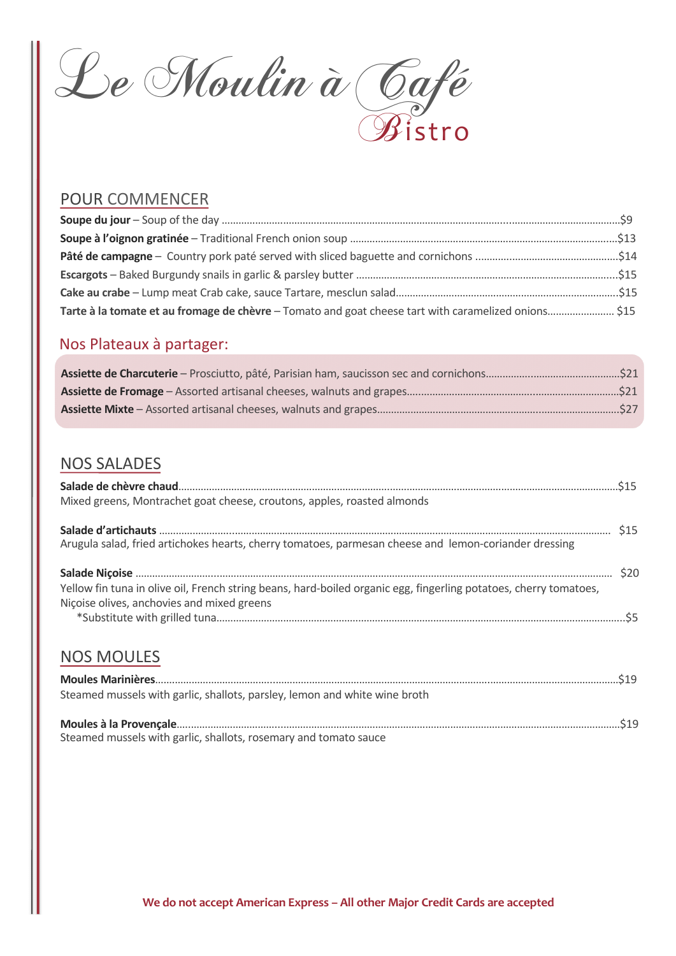

### POUR COMMENCER

## Nos Plateaux à partager:

## NOS SALADES

| Mixed greens, Montrachet goat cheese, croutons, apples, roasted almonds                                                                                         |            |
|-----------------------------------------------------------------------------------------------------------------------------------------------------------------|------------|
| Arugula salad, fried artichokes hearts, cherry tomatoes, parmesan cheese and lemon-coriander dressing                                                           | <b>S15</b> |
| Yellow fin tuna in olive oil, French string beans, hard-boiled organic egg, fingerling potatoes, cherry tomatoes,<br>Niçoise olives, anchovies and mixed greens |            |
|                                                                                                                                                                 |            |

### NOS MOULES

| Steamed mussels with garlic, shallots, parsley, lemon and white wine broth |
|----------------------------------------------------------------------------|
| Steamed mussels with garlic, shallots, rosemary and tomato sauce           |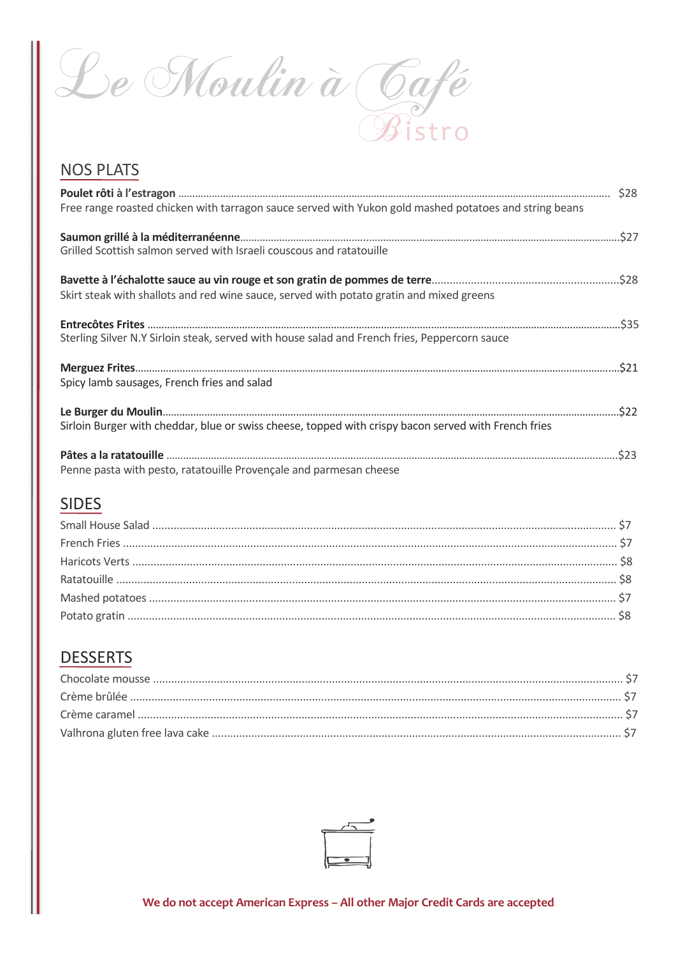Le Moulin à Café Bistro

## NOS PLATS

| Free range roasted chicken with tarragon sauce served with Yukon gold mashed potatoes and string beans |  |
|--------------------------------------------------------------------------------------------------------|--|
| Grilled Scottish salmon served with Israeli couscous and ratatouille                                   |  |
| Skirt steak with shallots and red wine sauce, served with potato gratin and mixed greens               |  |
| Sterling Silver N.Y Sirloin steak, served with house salad and French fries, Peppercorn sauce          |  |
| Spicy lamb sausages, French fries and salad                                                            |  |
| Sirloin Burger with cheddar, blue or swiss cheese, topped with crispy bacon served with French fries   |  |
| Penne pasta with pesto, ratatouille Provençale and parmesan cheese                                     |  |

## SIDES

# **DESSERTS**